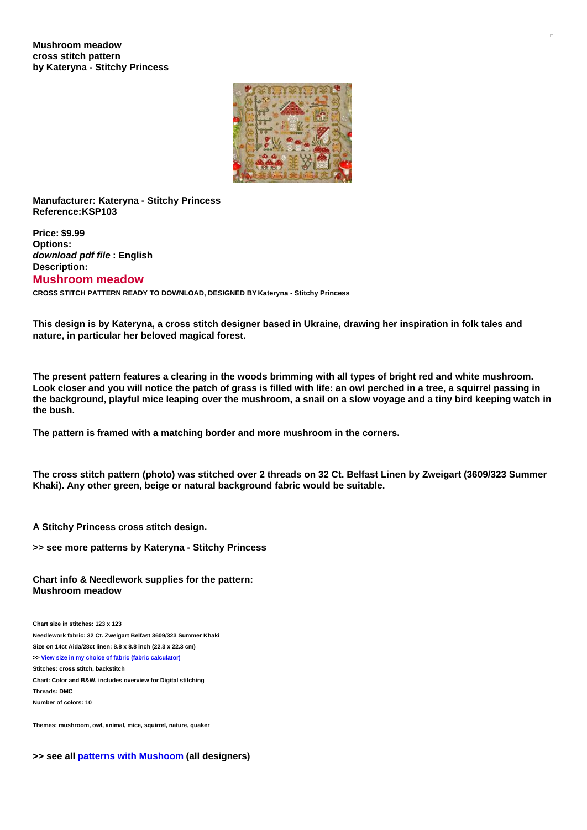

**Manufacturer: Kateryna - Stitchy Princess Reference:KSP103**

**Price: \$9.99 Options:** *download pdf file* **: English Description: Mushroom meadow CROSS STITCH PATTERN READY TO DOWNLOAD, DESIGNED BY Kateryna - Stitchy Princess**

This design is by Kateryna, a cross stitch designer based in Ukraine, drawing her inspiration in folk tales and **nature, in particular her beloved magical forest.**

The present pattern features a clearing in the woods brimming with all types of bright red and white mushroom. Look closer and you will notice the patch of grass is filled with life: an owl perched in a tree, a squirrel passing in the background, playful mice leaping over the mushroom, a snail on a slow voyage and a tiny bird keeping watch in **the bush.**

**The pattern is framed with a matching border and more mushroom in the corners.**

The cross stitch pattern (photo) was stitched over 2 threads on 32 Ct. Belfast Linen by Zweigart (3609/323 Summer **Khaki). Any other green, beige or natural background fabric would be suitable.**

**A Stitchy Princess cross stitch design.**

**>> see more patterns by Kateryna - Stitchy Princess**

**Chart info & Needlework supplies for the pattern: Mushroom meadow**

**Chart size in stitches: 123 x 123 Needlework fabric: 32 Ct. Zweigart Belfast 3609/323 Summer Khaki Size on 14ct Aida/28ct linen: 8.8 x 8.8 inch (22.3 x 22.3 cm) >> View size in my choice of fabric (fabric [calculator\)](https://www.creativepoppypatterns.com/calculette-de-toile.php?products_id=&w=&h=) Stitches: cross stitch, backstitch Chart: Color and B&W, includes overview for Digital stitching Threads: DMC Number of colors: 10**

**Themes: mushroom, owl, animal, mice, squirrel, nature, quaker**

**>> see all patterns with [Mushoom](https://www.creativepoppypatterns.com/mushroom-cross-stitch-pattern-xsl-211_720.html) (all designers)**